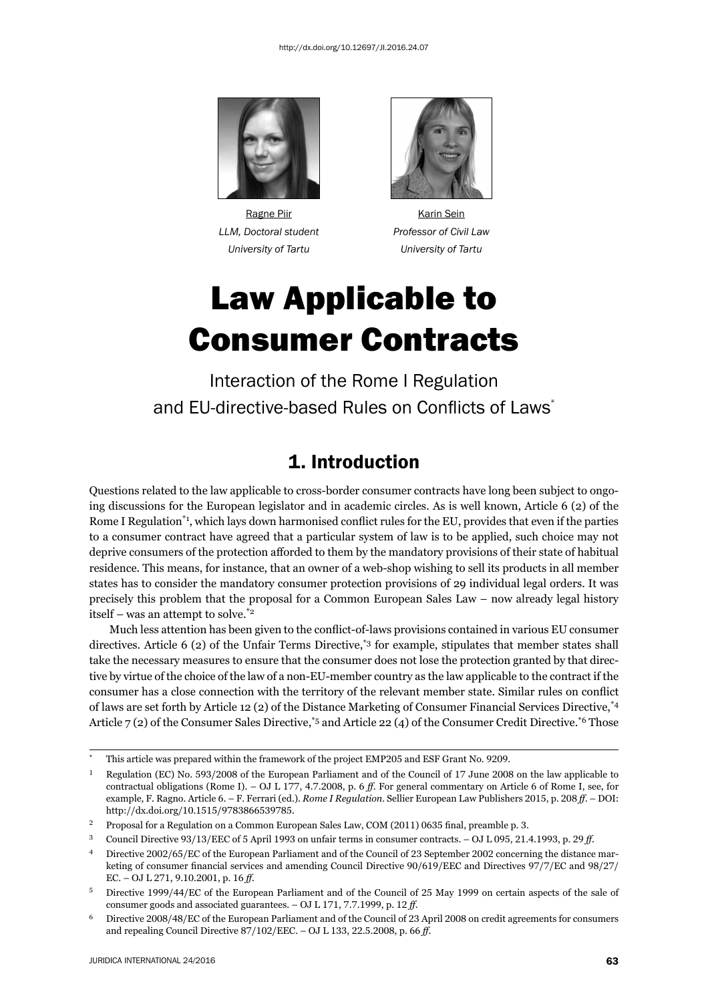

*LLM, Doctoral student Professor of Civil Law*



Ragne Piir **Karin Sein** Karin Sein  *University of Tartu University of Tartu*

# Law Applicable to Consumer Contracts

Interaction of the Rome I Regulation and EU-directive-based Rules on Conflicts of Laws<sup>\*</sup>

### 1. Introduction

Questions related to the law applicable to cross-border consumer contracts have long been subject to ongoing discussions for the European legislator and in academic circles. As is well known, Article 6 (2) of the Rome I Regulation<sup>\*1</sup>, which lays down harmonised conflict rules for the EU, provides that even if the parties to a consumer contract have agreed that a particular system of law is to be applied, such choice may not deprive consumers of the protection afforded to them by the mandatory provisions of their state of habitual residence. This means, for instance, that an owner of a web-shop wishing to sell its products in all member states has to consider the mandatory consumer protection provisions of 29 individual legal orders. It was precisely this problem that the proposal for a Common European Sales Law – now already legal history itself – was an attempt to solve.\*2

Much less attention has been given to the conflict-of-laws provisions contained in various EU consumer directives. Article 6 (2) of the Unfair Terms Directive,<sup>\*3</sup> for example, stipulates that member states shall take the necessary measures to ensure that the consumer does not lose the protection granted by that directive by virtue of the choice of the law of a non-EU-member country as the law applicable to the contract if the consumer has a close connection with the territory of the relevant member state. Similar rules on conflict of laws are set forth by Article 12 (2) of the Distance Marketing of Consumer Financial Services Directive,\*4 Article  $7(2)$  of the Consumer Sales Directive,<sup>\*5</sup> and Article 22(4) of the Consumer Credit Directive.<sup>\*6</sup> Those

This article was prepared within the framework of the project EMP205 and ESF Grant No. 9209.

 $^1$  Regulation (EC) No. 593/2008 of the European Parliament and of the Council of 17 June 2008 on the law applicable to contractual obligations (Rome I). – OJ L 177, 4.7.2008, p. 6 ff. For general commentary on Article 6 of Rome I, see, for example, F. Ragno. Article 6. – F. Ferrari (ed.). *Rome I Regulation*. Sellier European Law Publishers 2015, p. 208 ff. – DOI: http://dx.doi.org/10.1515/9783866539785.

 $^2$  Proposal for a Regulation on a Common European Sales Law, COM (2011) 0635 final, preamble p. 3.

<sup>&</sup>lt;sup>3</sup> Council Directive 93/13/EEC of 5 April 1993 on unfair terms in consumer contracts. – OJ L 095, 21.4.1993, p. 29 ff.

<sup>&</sup>lt;sup>4</sup> Directive 2002/65/EC of the European Parliament and of the Council of 23 September 2002 concerning the distance marketing of consumer financial services and amending Council Directive  $90/619/EEC$  and Directives  $97/7/EC$  and  $98/27/$ EC. – OJ L 271, 9.10.2001, p. 16 ff.

Directive 1999/44/EC of the European Parliament and of the Council of 25 May 1999 on certain aspects of the sale of consumer goods and associated guarantees. - OJ L 171, 7.7.1999, p. 12 ff.

 $6$  Directive 2008/48/EC of the European Parliament and of the Council of 23 April 2008 on credit agreements for consumers and repealing Council Directive  $87/102/EEC. - OJ L 133, 22.5.2008, p. 66 ff.$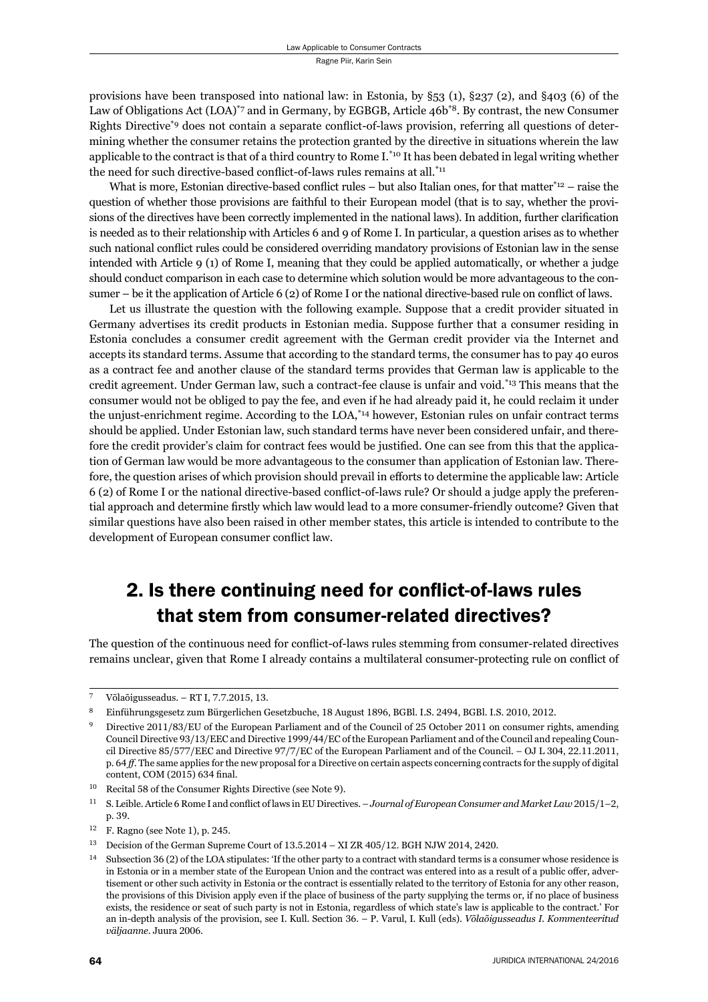provisions have been transposed into national law: in Estonia, by §53 (1), §237 (2), and §403 (6) of the Law of Obligations Act (LOA)<sup>\*7</sup> and in Germany, by EGBGB, Article 46b<sup>\*8</sup>. By contrast, the new Consumer Rights Directive<sup>\*9</sup> does not contain a separate conflict-of-laws provision, referring all questions of determining whether the consumer retains the protection granted by the directive in situations wherein the law applicable to the contract is that of a third country to Rome I.<sup>\*10</sup> It has been debated in legal writing whether the need for such directive-based conflict-of-laws rules remains at all.<sup>\*11</sup>

What is more, Estonian directive-based conflict rules – but also Italian ones, for that matter $*_{12}$  – raise the question of whether those provisions are faithful to their European model (that is to say, whether the provisions of the directives have been correctly implemented in the national laws). In addition, further clarification is needed as to their relationship with Articles 6 and 9 of Rome I. In particular, a question arises as to whether such national conflict rules could be considered overriding mandatory provisions of Estonian law in the sense intended with Article 9 (1) of Rome I, meaning that they could be applied automatically, or whether a judge should conduct comparison in each case to determine which solution would be more advantageous to the consumer – be it the application of Article 6 (2) of Rome I or the national directive-based rule on conflict of laws.

Let us illustrate the question with the following example. Suppose that a credit provider situated in Germany advertises its credit products in Estonian media. Suppose further that a consumer residing in Estonia concludes a consumer credit agreement with the German credit provider via the Internet and accepts its standard terms. Assume that according to the standard terms, the consumer has to pay 40 euros as a contract fee and another clause of the standard terms provides that German law is applicable to the credit agreement. Under German law, such a contract-fee clause is unfair and void.\*13 This means that the consumer would not be obliged to pay the fee, and even if he had already paid it, he could reclaim it under the unjust-enrichment regime. According to the LOA,\*14 however, Estonian rules on unfair contract terms should be applied. Under Estonian law, such standard terms have never been considered unfair, and therefore the credit provider's claim for contract fees would be justified. One can see from this that the application of German law would be more advantageous to the consumer than application of Estonian law. Therefore, the question arises of which provision should prevail in efforts to determine the applicable law: Article 6 (2) of Rome I or the national directive-based conflict-of-laws rule? Or should a judge apply the preferential approach and determine firstly which law would lead to a more consumer-friendly outcome? Given that similar questions have also been raised in other member states, this article is intended to contribute to the development of European consumer conflict law.

## 2. Is there continuing need for conflict-of-laws rules that stem from consumer-related directives?

The question of the continuous need for conflict-of-laws rules stemming from consumer-related directives remains unclear, given that Rome I already contains a multilateral consumer-protecting rule on conflict of

Võlaõigusseadus. – RT I, 7.7.2015, 13.

<sup>8</sup> Einführungsgesetz zum Bürgerlichen Gesetzbuche, 18 August 1896, BGBl. I.S. 2494, BGBl. I.S. 2010, 2012.

Directive 2011/83/EU of the European Parliament and of the Council of 25 October 2011 on consumer rights, amending Council Directive 93/13/EEC and Directive 1999/44/EC of the European Parliament and of the Council and repealing Council Directive  $85/577/EEC$  and Directive  $97/7/EC$  of the European Parliament and of the Council. – OJ L 304, 22.11.2011, p. 64 ff. The same applies for the new proposal for a Directive on certain aspects concerning contracts for the supply of digital content, COM (2015) 634 final.

<sup>&</sup>lt;sup>10</sup> Recital 58 of the Consumer Rights Directive (see Note 9).

<sup>&</sup>lt;sup>11</sup> S. Leible. Article 6 Rome I and conflict of laws in EU Directives. – *Journal of European Consumer and Market Law* 2015/1-2, p. 39.

 $12$  F. Ragno (see Note 1), p. 245.

 $^{13}$  Decision of the German Supreme Court of  $13.5.2014 - XIZR 405/12$ . BGH NJW 2014, 2420.

<sup>&</sup>lt;sup>14</sup> Subsection 36 (2) of the LOA stipulates: 'If the other party to a contract with standard terms is a consumer whose residence is in Estonia or in a member state of the European Union and the contract was entered into as a result of a public offer, advertisement or other such activity in Estonia or the contract is essentially related to the territory of Estonia for any other reason, the provisions of this Division apply even if the place of business of the party supplying the terms or, if no place of business exists, the residence or seat of such party is not in Estonia, regardless of which state's law is applicable to the contract.' For an in-depth analysis of the provision, see I. Kull. Section 36. – P. Varul, I. Kull (eds). *Võlaõigusseadus I. Kommenteeritud*  $v$ äljaanne. Juura 2006.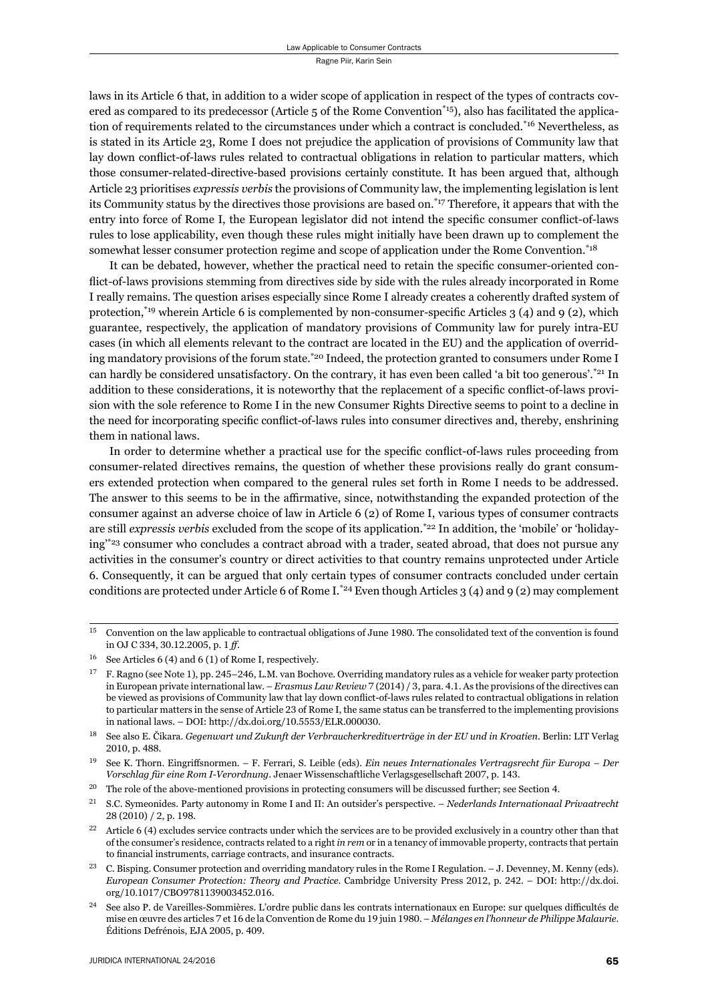laws in its Article 6 that, in addition to a wider scope of application in respect of the types of contracts covered as compared to its predecessor (Article 5 of the Rome Convention<sup>\*15</sup>), also has facilitated the application of requirements related to the circumstances under which a contract is concluded.<sup>\*16</sup> Nevertheless, as is stated in its Article 23, Rome I does not prejudice the application of provisions of Community law that lay down conflict-of-laws rules related to contractual obligations in relation to particular matters, which those consumer-related-directive-based provisions certainly constitute. It has been argued that, although Article 23 prioritises *expressis verbis* the provisions of Community law, the implementing legislation is lent its Community status by the directives those provisions are based on.\*17 Therefore, it appears that with the entry into force of Rome I, the European legislator did not intend the specific consumer conflict-of-laws rules to lose applicability, even though these rules might initially have been drawn up to complement the somewhat lesser consumer protection regime and scope of application under the Rome Convention.\*18

It can be debated, however, whether the practical need to retain the specific consumer-oriented conflict-of-laws provisions stemming from directives side by side with the rules already incorporated in Rome I really remains. The question arises especially since Rome I already creates a coherently drafted system of protection,<sup>\*19</sup> wherein Article 6 is complemented by non-consumer-specific Articles 3 (4) and 9 (2), which guarantee, respectively, the application of mandatory provisions of Community law for purely intra-EU cases (in which all elements relevant to the contract are located in the EU) and the application of overriding mandatory provisions of the forum state.<sup>\*20</sup> Indeed, the protection granted to consumers under Rome I can hardly be considered unsatisfactory. On the contrary, it has even been called 'a bit too generous'.<sup>\*21</sup> In addition to these considerations, it is noteworthy that the replacement of a specific conflict-of-laws provision with the sole reference to Rome I in the new Consumer Rights Directive seems to point to a decline in the need for incorporating specific conflict-of-laws rules into consumer directives and, thereby, enshrining them in national laws.

In order to determine whether a practical use for the specific conflict-of-laws rules proceeding from consumer-related directives remains, the question of whether these provisions really do grant consumers extended protection when compared to the general rules set forth in Rome I needs to be addressed. The answer to this seems to be in the affirmative, since, notwithstanding the expanded protection of the consumer against an adverse choice of law in Article 6 (2) of Rome I, various types of consumer contracts are still *expressis verbis* excluded from the scope of its application.<sup>\*22</sup> In addition, the 'mobile' or 'holidaying<sup>\*\*23</sup> consumer who concludes a contract abroad with a trader, seated abroad, that does not pursue any activities in the consumer's country or direct activities to that country remains unprotected under Article 6. Consequently, it can be argued that only certain types of consumer contracts concluded under certain conditions are protected under Article 6 of Rome I.<sup>\*24</sup> Even though Articles 3 (4) and 9 (2) may complement

 $15$  Convention on the law applicable to contractual obligations of June 1980. The consolidated text of the convention is found in OJ C 334, 30.12.2005, p. 1 *ff*.

 $16$  See Articles 6 (4) and 6 (1) of Rome I, respectively.

 $^{17}$  F. Ragno (see Note 1), pp. 245–246, L.M. van Bochove. Overriding mandatory rules as a vehicle for weaker party protection in European private international law. – *Erasmus Law Review* 7 (2014) / 3, para. 4.1. As the provisions of the directives can be viewed as provisions of Community law that lay down conflict-of-laws rules related to contractual obligations in relation to particular matters in the sense of Article 23 of Rome I, the same status can be transferred to the implementing provisions in national laws. – DOI: http://dx.doi.org/10.5553/ELR.000030.

ɲɹ See also E. Čikara. *Gegenwart und Zukunft der Verbraucherkreditverträge in der EU und in Kroatien*. Berlin: LIT Verlag 2010, p. 488.

ɲɺ See K. Thorn. Eingriff snormen. – F. Ferrari, S. Leible (eds). *Ein neues Internationales Vertragsrecht für Europa – Der Vorschlag für eine Rom I-Verordnung. Jenaer Wissenschaftliche Verlagsgesellschaft 2007, p. 143.* 

<sup>&</sup>lt;sup>20</sup> The role of the above-mentioned provisions in protecting consumers will be discussed further; see Section 4.

ɳɲ S.C. Symeonides. Party autonomy in Rome I and II: An outsider's perspective. – *Nederlands Internationaal Privaatrecht* 28 (2010) / 2, p. 198.

 $2<sup>22</sup>$  Article 6 (4) excludes service contracts under which the services are to be provided exclusively in a country other than that of the consumer's residence, contracts related to a right *in rem* or in a tenancy of immovable property, contracts that pertain to financial instruments, carriage contracts, and insurance contracts.

C. Bisping. Consumer protection and overriding mandatory rules in the Rome I Regulation. – J. Devenney, M. Kenny (eds). *European Consumer Protection: Theory and Practice. Cambridge University Press 2012, p. 242. – DOI: http://dx.doi.* org/10.1017/CBO9781139003452.016.

See also P. de Vareilles-Sommières. L'ordre public dans les contrats internationaux en Europe: sur quelques difficultés de mise en œuvre des articles 7 et 16 de la Convention de Rome du 19 juin 1980. – *Mélanges en l'honneur de Philippe Malaurie*. Éditions Defrénois, EJA 2005, p. 409.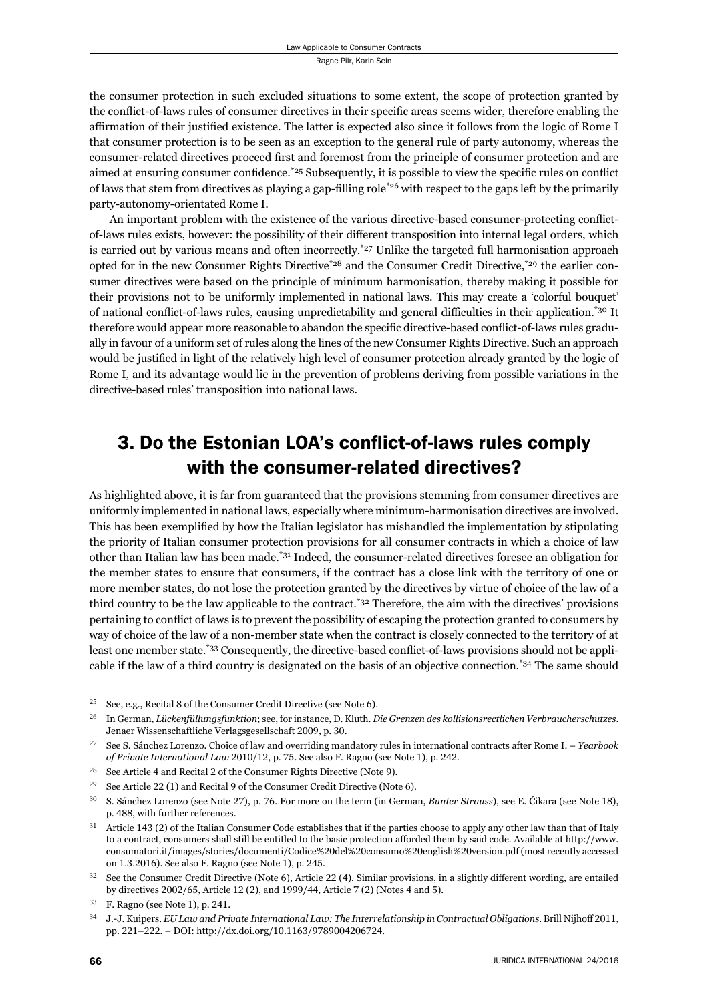the consumer protection in such excluded situations to some extent, the scope of protection granted by the conflict-of-laws rules of consumer directives in their specific areas seems wider, therefore enabling the affirmation of their justified existence. The latter is expected also since it follows from the logic of Rome I that consumer protection is to be seen as an exception to the general rule of party autonomy, whereas the consumer-related directives proceed first and foremost from the principle of consumer protection and are aimed at ensuring consumer confidence.<sup> $25$ </sup> Subsequently, it is possible to view the specific rules on conflict of laws that stem from directives as playing a gap-filling role<sup>\*26</sup> with respect to the gaps left by the primarily party-autonomy-orientated Rome I.

An important problem with the existence of the various directive-based consumer-protecting conflictof-laws rules exists, however: the possibility of their different transposition into internal legal orders, which is carried out by various means and often incorrectly.<sup>\*27</sup> Unlike the targeted full harmonisation approach opted for in the new Consumer Rights Directive<sup>\*28</sup> and the Consumer Credit Directive,<sup>\*29</sup> the earlier consumer directives were based on the principle of minimum harmonisation, thereby making it possible for their provisions not to be uniformly implemented in national laws. This may create a 'colorful bouquet' of national conflict-of-laws rules, causing unpredictability and general difficulties in their application.<sup>\*30</sup> It therefore would appear more reasonable to abandon the specific directive-based conflict-of-laws rules gradually in favour of a uniform set of rules along the lines of the new Consumer Rights Directive. Such an approach would be justified in light of the relatively high level of consumer protection already granted by the logic of Rome I, and its advantage would lie in the prevention of problems deriving from possible variations in the directive-based rules' transposition into national laws.

### 3. Do the Estonian LOA's conflict-of-laws rules comply with the consumer-related directives?

As highlighted above, it is far from guaranteed that the provisions stemming from consumer directives are uniformly implemented in national laws, especially where minimum-harmonisation directives are involved. This has been exemplified by how the Italian legislator has mishandled the implementation by stipulating the priority of Italian consumer protection provisions for all consumer contracts in which a choice of law other than Italian law has been made.\*31 Indeed, the consumer-related directives foresee an obligation for the member states to ensure that consumers, if the contract has a close link with the territory of one or more member states, do not lose the protection granted by the directives by virtue of choice of the law of a third country to be the law applicable to the contract.\*32 Therefore, the aim with the directives' provisions pertaining to conflict of laws is to prevent the possibility of escaping the protection granted to consumers by way of choice of the law of a non-member state when the contract is closely connected to the territory of at least one member state.\*33 Consequently, the directive-based conflict-of-laws provisions should not be applicable if the law of a third country is designated on the basis of an objective connection.\*34 The same should

<sup>&</sup>lt;sup>25</sup> See, e.g., Recital 8 of the Consumer Credit Directive (see Note 6).

ɳɷ In German, *Lückenfüllungsfunktion*; see, for instance, D. Kluth. *Die Grenzen des kollisionsrectlichen Verbraucherschutzes*. Jenaer Wissenschaftliche Verlagsgesellschaft 2009, p. 30.

ɳɸ See S. Sánchez Lorenzo. Choice of law and overriding mandatory rules in international contracts after Rome I. – *Yearbook of Private International Law* 2010/12, p. 75. See also F. Ragno (see Note 1), p. 242.

<sup>&</sup>lt;sup>28</sup> See Article 4 and Recital 2 of the Consumer Rights Directive (Note 9).

<sup>&</sup>lt;sup>29</sup> See Article 22 (1) and Recital 9 of the Consumer Credit Directive (Note 6).

<sup>&</sup>lt;sup>30</sup> S. Sánchez Lorenzo (see Note 27), p. 76. For more on the term (in German, *Bunter Strauss*), see E. Čikara (see Note 18), p. 488, with further references.

<sup>&</sup>lt;sup>31</sup> Article 143 (2) of the Italian Consumer Code establishes that if the parties choose to apply any other law than that of Italy to a contract, consumers shall still be entitled to the basic protection afforded them by said code. Available at http://www. consumatori.it/images/stories/documenti/Codice%ɳɱdel%ɳɱconsumo%ɳɱenglish%ɳɱversion.pdf (most recently accessed on 1.3.2016). See also F. Ragno (see Note 1), p. 245.

<sup>&</sup>lt;sup>32</sup> See the Consumer Credit Directive (Note 6), Article 22 (4). Similar provisions, in a slightly different wording, are entailed by directives 2002/65, Article 12 (2), and 1999/44, Article 7 (2) (Notes 4 and 5).

 $33$  F. Ragno (see Note 1), p. 241.

<sup>&</sup>lt;sup>34</sup> J.-J. Kuipers. *EU Law and Private International Law: The Interrelationship in Contractual Obligations. Brill Nijhoff 2011,* pp. 221-222. - DOI: http://dx.doi.org/10.1163/9789004206724.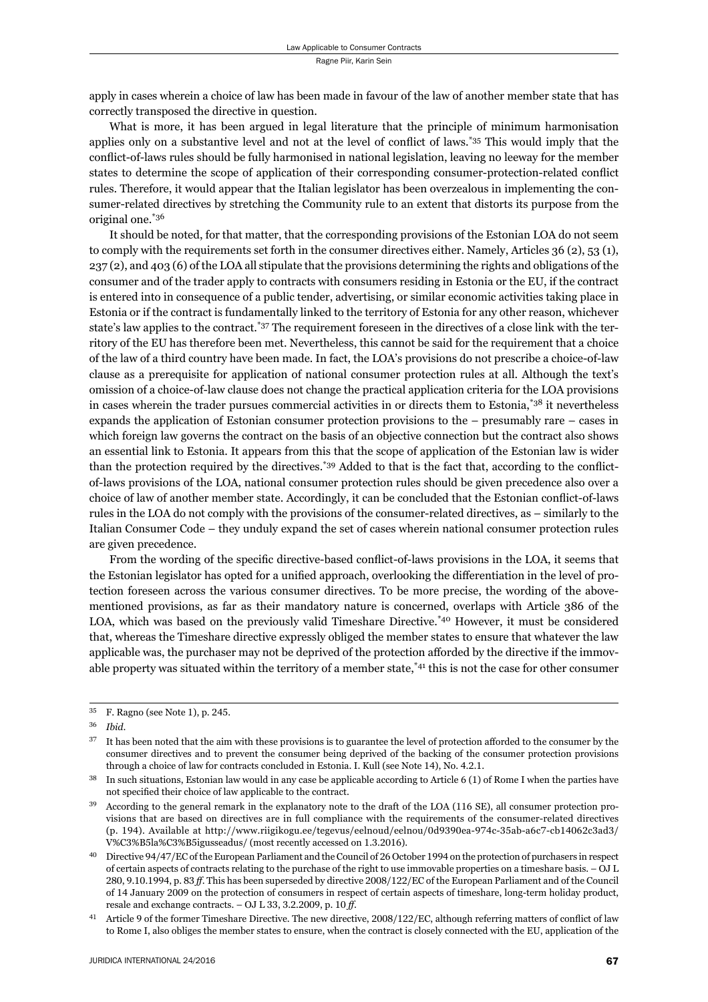apply in cases wherein a choice of law has been made in favour of the law of another member state that has correctly transposed the directive in question.

What is more, it has been argued in legal literature that the principle of minimum harmonisation applies only on a substantive level and not at the level of conflict of laws.\*35 This would imply that the conflict-of-laws rules should be fully harmonised in national legislation, leaving no leeway for the member states to determine the scope of application of their corresponding consumer-protection-related conflict rules. Therefore, it would appear that the Italian legislator has been overzealous in implementing the consumer-related directives by stretching the Community rule to an extent that distorts its purpose from the original one.\*36

It should be noted, for that matter, that the corresponding provisions of the Estonian LOA do not seem to comply with the requirements set forth in the consumer directives either. Namely, Articles 36 (2), 53 (1), 237 (2), and 403 (6) of the LOA all stipulate that the provisions determining the rights and obligations of the consumer and of the trader apply to contracts with consumers residing in Estonia or the EU, if the contract is entered into in consequence of a public tender, advertising, or similar economic activities taking place in Estonia or if the contract is fundamentally linked to the territory of Estonia for any other reason, whichever state's law applies to the contract.\*37 The requirement foreseen in the directives of a close link with the territory of the EU has therefore been met. Nevertheless, this cannot be said for the requirement that a choice of the law of a third country have been made. In fact, the LOA's provisions do not prescribe a choice-of-law clause as a prerequisite for application of national consumer protection rules at all. Although the text's omission of a choice-of-law clause does not change the practical application criteria for the LOA provisions in cases wherein the trader pursues commercial activities in or directs them to Estonia,\*38 it nevertheless expands the application of Estonian consumer protection provisions to the – presumably rare – cases in which foreign law governs the contract on the basis of an objective connection but the contract also shows an essential link to Estonia. It appears from this that the scope of application of the Estonian law is wider than the protection required by the directives.<sup>\*39</sup> Added to that is the fact that, according to the conflictof-laws provisions of the LOA, national consumer protection rules should be given precedence also over a choice of law of another member state. Accordingly, it can be concluded that the Estonian conflict-of-laws rules in the LOA do not comply with the provisions of the consumer-related directives, as – similarly to the Italian Consumer Code – they unduly expand the set of cases wherein national consumer protection rules are given precedence.

From the wording of the specific directive-based conflict-of-laws provisions in the LOA, it seems that the Estonian legislator has opted for a unified approach, overlooking the differentiation in the level of protection foreseen across the various consumer directives. To be more precise, the wording of the abovementioned provisions, as far as their mandatory nature is concerned, overlaps with Article 386 of the LOA, which was based on the previously valid Timeshare Directive.\*40 However, it must be considered that, whereas the Timeshare directive expressly obliged the member states to ensure that whatever the law applicable was, the purchaser may not be deprived of the protection afforded by the directive if the immovable property was situated within the territory of a member state,\*41 this is not the case for other consumer

 $35$  F. Ragno (see Note 1), p. 245.

ɴɷ *Ibid*.

It has been noted that the aim with these provisions is to guarantee the level of protection afforded to the consumer by the consumer directives and to prevent the consumer being deprived of the backing of the consumer protection provisions through a choice of law for contracts concluded in Estonia. I. Kull (see Note 14), No. 4.2.1.

In such situations, Estonian law would in any case be applicable according to Article 6 (1) of Rome I when the parties have not specified their choice of law applicable to the contract.

According to the general remark in the explanatory note to the draft of the LOA (116 SE), all consumer protection provisions that are based on directives are in full compliance with the requirements of the consumer-related directives (p. 194). Available at http://www.riigikogu.ee/tegevus/eelnoud/eelnou/0d9390ea-974c-35ab-a6c7-cb14062c3ad3/ V%C3%B5la%C3%B5igusseadus/ (most recently accessed on 1.3.2016).

<sup>&</sup>lt;sup>40</sup> Directive 94/47/EC of the European Parliament and the Council of 26 October 1994 on the protection of purchasers in respect of certain aspects of contracts relating to the purchase of the right to use immovable properties on a timeshare basis. – OJ L 280, 9.10.1994, p. 83 ff. This has been superseded by directive 2008/122/EC of the European Parliament and of the Council of 14 January 2009 on the protection of consumers in respect of certain aspects of timeshare, long-term holiday product, resale and exchange contracts. – OJ L 33, 3.2.2009, p. 10 ff.

<sup>&</sup>lt;sup>41</sup> Article 9 of the former Timeshare Directive. The new directive,  $2008/122/EC$ , although referring matters of conflict of law to Rome I, also obliges the member states to ensure, when the contract is closely connected with the EU, application of the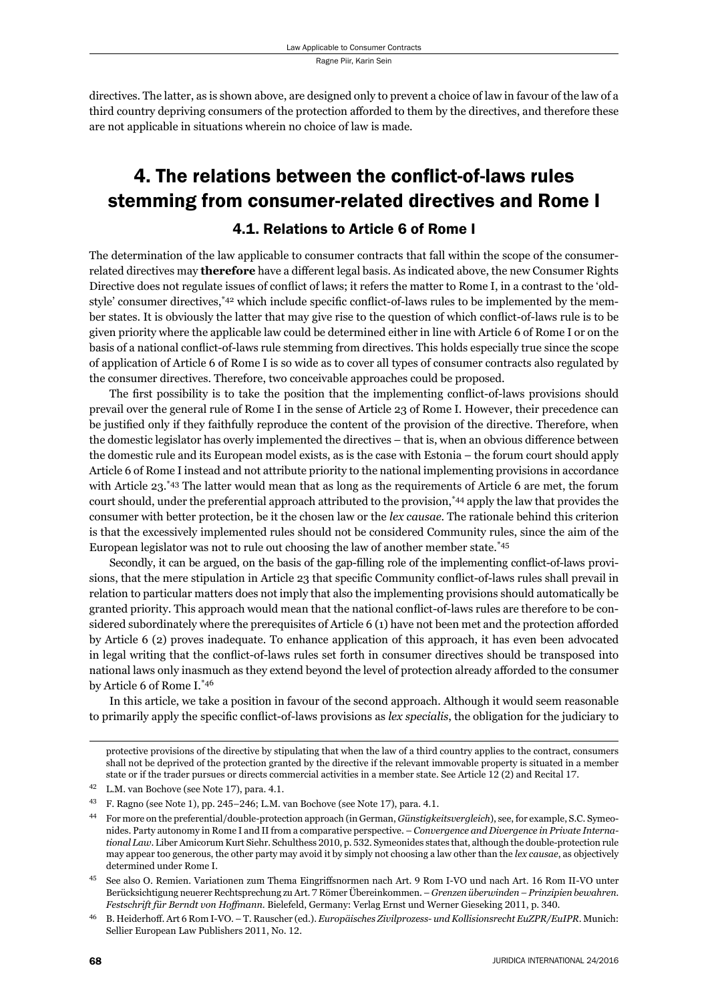directives. The latter, as is shown above, are designed only to prevent a choice of law in favour of the law of a third country depriving consumers of the protection afforded to them by the directives, and therefore these are not applicable in situations wherein no choice of law is made.

# 4. The relations between the conflict-of-laws rules stemming from consumer-related directives and Rome I

#### 4.1. Relations to Article 6 of Rome I

The determination of the law applicable to consumer contracts that fall within the scope of the consumerrelated directives may **therefore** have a different legal basis. As indicated above, the new Consumer Rights Directive does not regulate issues of conflict of laws; it refers the matter to Rome I, in a contrast to the 'oldstyle' consumer directives, $*42$  which include specific conflict-of-laws rules to be implemented by the member states. It is obviously the latter that may give rise to the question of which conflict-of-laws rule is to be given priority where the applicable law could be determined either in line with Article 6 of Rome I or on the basis of a national conflict-of-laws rule stemming from directives. This holds especially true since the scope of application of Article 6 of Rome I is so wide as to cover all types of consumer contracts also regulated by the consumer directives. Therefore, two conceivable approaches could be proposed.

The first possibility is to take the position that the implementing conflict-of-laws provisions should prevail over the general rule of Rome I in the sense of Article 23 of Rome I. However, their precedence can be justified only if they faithfully reproduce the content of the provision of the directive. Therefore, when the domestic legislator has overly implemented the directives – that is, when an obvious difference between the domestic rule and its European model exists, as is the case with Estonia – the forum court should apply Article 6 of Rome I instead and not attribute priority to the national implementing provisions in accordance with Article 23.<sup>\*43</sup> The latter would mean that as long as the requirements of Article 6 are met, the forum court should, under the preferential approach attributed to the provision,\*44 apply the law that provides the consumer with better protection, be it the chosen law or the *lex causae*. The rationale behind this criterion is that the excessively implemented rules should not be considered Community rules, since the aim of the European legislator was not to rule out choosing the law of another member state.\*45

Secondly, it can be argued, on the basis of the gap-filling role of the implementing conflict-of-laws provisions, that the mere stipulation in Article 23 that specific Community conflict-of-laws rules shall prevail in relation to particular matters does not imply that also the implementing provisions should automatically be granted priority. This approach would mean that the national conflict-of-laws rules are therefore to be considered subordinately where the prerequisites of Article  $6(1)$  have not been met and the protection afforded by Article 6 (2) proves inadequate. To enhance application of this approach, it has even been advocated in legal writing that the conflict-of-laws rules set forth in consumer directives should be transposed into national laws only inasmuch as they extend beyond the level of protection already afforded to the consumer by Article 6 of Rome I.\*46

In this article, we take a position in favour of the second approach. Although it would seem reasonable to primarily apply the specific conflict-of-laws provisions as *lex specialis*, the obligation for the judiciary to

protective provisions of the directive by stipulating that when the law of a third country applies to the contract, consumers shall not be deprived of the protection granted by the directive if the relevant immovable property is situated in a member state or if the trader pursues or directs commercial activities in a member state. See Article 12 (2) and Recital 17.

<sup>&</sup>lt;sup>42</sup> L.M. van Bochove (see Note 17), para. 4.1.

<sup>&</sup>lt;sup>43</sup> F. Ragno (see Note 1), pp. 245–246; L.M. van Bochove (see Note 17), para. 4.1.

ɵɵ For more on the preferential/double-protection approach (in German, *Günstigkeitsvergleich*), see, for example, S.C. Symeonides. Party autonomy in Rome I and II from a comparative perspective. – *Convergence and Divergence in Private International Law.* Liber Amicorum Kurt Siehr. Schulthess 2010, p. 532. Symeonides states that, although the double-protection rule may appear too generous, the other party may avoid it by simply not choosing a law other than the *lex causae*, as objectively determined under Rome I.

See also O. Remien. Variationen zum Thema Eingriffsnormen nach Art. 9 Rom I-VO und nach Art. 16 Rom II-VO unter Berücksichtigung neuerer Rechtsprechung zu Art. 7 Römer Übereinkommen. – *Grenzen überwinden – Prinzipien bewahren. Festschrift für Berndt von Hoffmann*. Bielefeld, Germany: Verlag Ernst und Werner Gieseking 2011, p. 340.

ɵɷ B. Heiderhoff . Art ɷ Rom I-VO. – T. Rauscher (ed.). *Europäisches Zivilprozess- und Kollisionsrecht EuZPR/EuIPR*. Munich: Sellier European Law Publishers 2011, No. 12.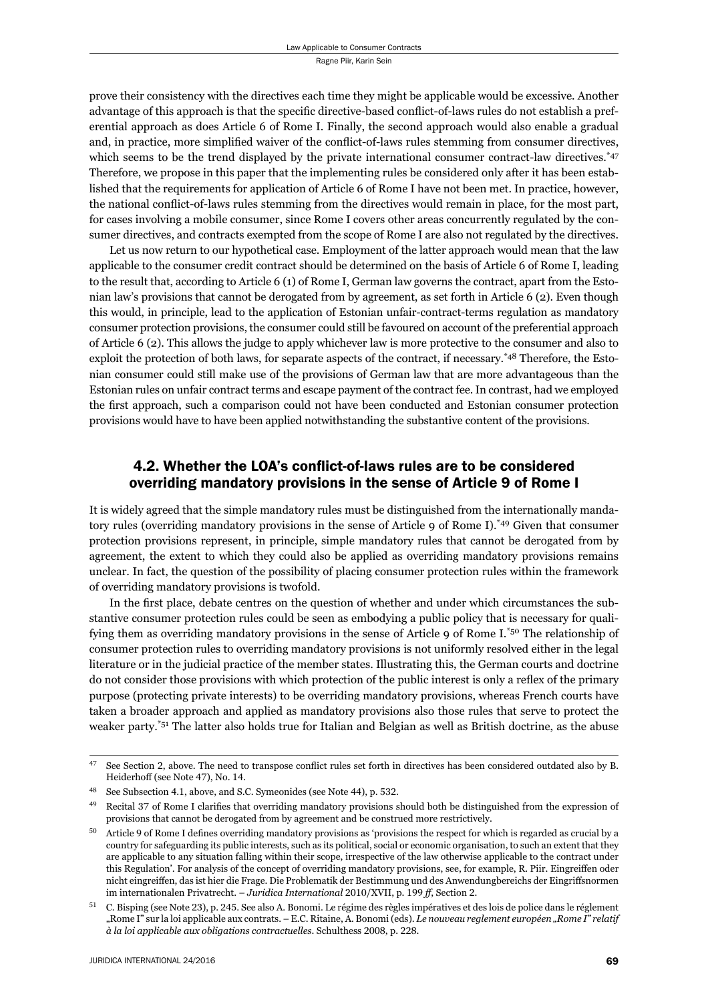prove their consistency with the directives each time they might be applicable would be excessive. Another advantage of this approach is that the specific directive-based conflict-of-laws rules do not establish a preferential approach as does Article 6 of Rome I. Finally, the second approach would also enable a gradual and, in practice, more simplified waiver of the conflict-of-laws rules stemming from consumer directives, which seems to be the trend displayed by the private international consumer contract-law directives.\*47 Therefore, we propose in this paper that the implementing rules be considered only after it has been established that the requirements for application of Article 6 of Rome I have not been met. In practice, however, the national conflict-of-laws rules stemming from the directives would remain in place, for the most part, for cases involving a mobile consumer, since Rome I covers other areas concurrently regulated by the consumer directives, and contracts exempted from the scope of Rome I are also not regulated by the directives.

Let us now return to our hypothetical case. Employment of the latter approach would mean that the law applicable to the consumer credit contract should be determined on the basis of Article 6 of Rome I, leading to the result that, according to Article 6 (1) of Rome I, German law governs the contract, apart from the Estonian law's provisions that cannot be derogated from by agreement, as set forth in Article 6 (2). Even though this would, in principle, lead to the application of Estonian unfair-contract-terms regulation as mandatory consumer protection provisions, the consumer could still be favoured on account of the preferential approach of Article 6 (2). This allows the judge to apply whichever law is more protective to the consumer and also to exploit the protection of both laws, for separate aspects of the contract, if necessary.<sup>\*48</sup> Therefore, the Estonian consumer could still make use of the provisions of German law that are more advantageous than the Estonian rules on unfair contract terms and escape payment of the contract fee. In contrast, had we employed the first approach, such a comparison could not have been conducted and Estonian consumer protection provisions would have to have been applied notwithstanding the substantive content of the provisions.

#### 4.2. Whether the LOA's conflict-of-laws rules are to be considered overriding mandatory provisions in the sense of Article 9 of Rome I

It is widely agreed that the simple mandatory rules must be distinguished from the internationally mandatory rules (overriding mandatory provisions in the sense of Article 9 of Rome I).\*49 Given that consumer protection provisions represent, in principle, simple mandatory rules that cannot be derogated from by agreement, the extent to which they could also be applied as overriding mandatory provisions remains unclear. In fact, the question of the possibility of placing consumer protection rules within the framework of overriding mandatory provisions is twofold.

In the first place, debate centres on the question of whether and under which circumstances the substantive consumer protection rules could be seen as embodying a public policy that is necessary for qualifying them as overriding mandatory provisions in the sense of Article 9 of Rome I.\*50 The relationship of consumer protection rules to overriding mandatory provisions is not uniformly resolved either in the legal literature or in the judicial practice of the member states. Illustrating this, the German courts and doctrine do not consider those provisions with which protection of the public interest is only a reflex of the primary purpose (protecting private interests) to be overriding mandatory provisions, whereas French courts have taken a broader approach and applied as mandatory provisions also those rules that serve to protect the weaker party.\*51 The latter also holds true for Italian and Belgian as well as British doctrine, as the abuse

<sup>&</sup>lt;sup>47</sup> See Section 2, above. The need to transpose conflict rules set forth in directives has been considered outdated also by B. Heiderhoff (see Note 47), No. 14.

<sup>&</sup>lt;sup>48</sup> See Subsection 4.1, above, and S.C. Symeonides (see Note 44), p. 532.

<sup>&</sup>lt;sup>49</sup> Recital 37 of Rome I clarifies that overriding mandatory provisions should both be distinguished from the expression of provisions that cannot be derogated from by agreement and be construed more restrictively.

Article 9 of Rome I defines overriding mandatory provisions as 'provisions the respect for which is regarded as crucial by a country for safeguarding its public interests, such as its political, social or economic organisation, to such an extent that they are applicable to any situation falling within their scope, irrespective of the law otherwise applicable to the contract under this Regulation'. For analysis of the concept of overriding mandatory provisions, see, for example, R. Piir. Eingreiffen oder nicht eingreiffen, das ist hier die Frage. Die Problematik der Bestimmung und des Anwendungbereichs der Eingriffsnormen im internationalen Privatrecht. *– Juridica International* 2010/XVII, p. 199 ff, Section 2.

C. Bisping (see Note 23), p. 245. See also A. Bonomi. Le régime des règles impératives et des lois de police dans le réglement "Rome I" sur la loi applicable aux contrats. – E.C. Ritaine, A. Bonomi (eds). *Le nouveau reglement européen "Rome I" relatif*  $\dot{a}$  la loi applicable aux obligations contractuelles. Schulthess 2008, p. 228.